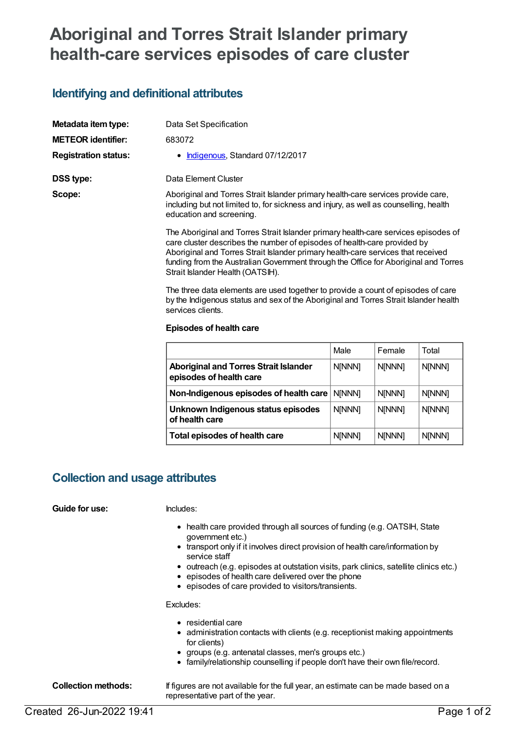# **Aboriginal and Torres Strait Islander primary health-care services episodes of care cluster**

## **Identifying and definitional attributes**

| Metadata item type:         | Data Set Specification                                                                                                                                                                                                                             |
|-----------------------------|----------------------------------------------------------------------------------------------------------------------------------------------------------------------------------------------------------------------------------------------------|
| <b>METEOR identifier:</b>   | 683072                                                                                                                                                                                                                                             |
| <b>Registration status:</b> | • Indigenous, Standard 07/12/2017                                                                                                                                                                                                                  |
| DSS type:                   | Data Element Cluster                                                                                                                                                                                                                               |
| Scope:                      | Aboriginal and Torres Strait Islander primary health-care services provide care,<br>including but not limited to, for sickness and injury, as well as counselling, health<br>education and screening.                                              |
|                             | The Aboriginal and Torres Strait Islander primary health-care services episodes of<br>care cluster describes the number of episodes of health-care provided by<br>Aboriginal and Torres Strait Islander primary health-care senvices that received |

Aboriginal and Torres Strait Islander primary nealth-care services that receiv funding from the Australian Government through the Office for Aboriginal and Torres Strait Islander Health (OATSIH).

The three data elements are used together to provide a count of episodes of care by the Indigenous status and sex of the Aboriginal and Torres Strait Islander health services clients.

### **Episodes of health care**

|                                                                         | Male          | Female        | Total         |
|-------------------------------------------------------------------------|---------------|---------------|---------------|
| <b>Aboriginal and Torres Strait Islander</b><br>episodes of health care | N[NNN]        | <b>N[NNN]</b> | N[NNN]        |
| Non-Indigenous episodes of health care                                  | <b>NINNN1</b> | <b>N[NNN]</b> | <b>N[NNN]</b> |
| Unknown Indigenous status episodes<br>of health care                    | <b>N[NNN]</b> | <b>N[NNN]</b> | N[NNN]        |
| Total episodes of health care                                           | <b>N[NNN]</b> | <b>N[NNN]</b> | <b>N[NNN]</b> |

## **Collection and usage attributes**

### **Guide for use:** Includes:

- health care provided through all sources of funding (e.g. OATSIH, State government etc.)
- transport only if it involves direct provision of health care/information by service staff
- outreach (e.g. episodes at outstation visits, park clinics, satellite clinics etc.)
- $\bullet$  episodes of health care delivered over the phone
- episodes of care provided to visitors/transients.

Excludes:

- residential care
- administration contacts with clients (e.g. receptionist making appointments for clients)
- groups (e.g. antenatal classes, men's groups etc.)
- family/relationship counselling if people don't have their own file/record.

**Collection methods:** If figures are not available for the full year, an estimate can be made based on a representative part of the year.